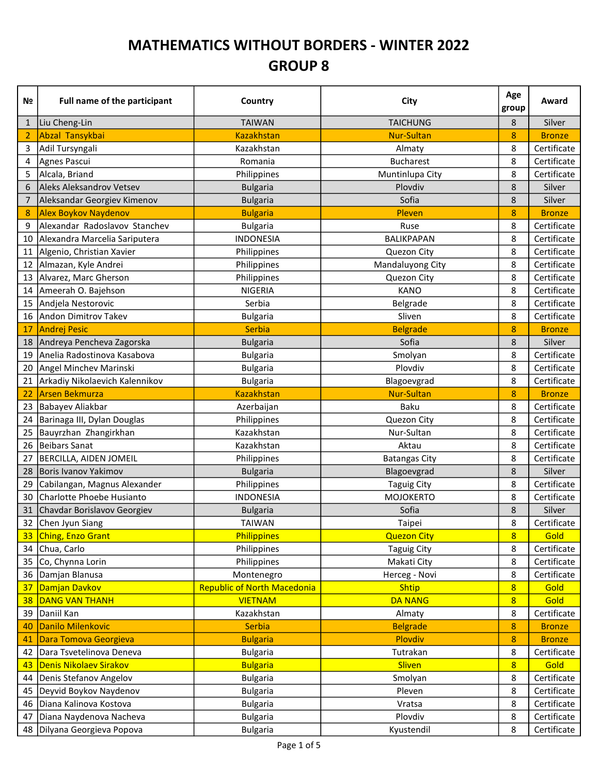## MATHEMATICS WITHOUT BORDERS - WINTER 2022 GROUP 8

| N <sub>2</sub> | <b>Full name of the participant</b> | Country                            | City                 | Age<br>group   | Award         |
|----------------|-------------------------------------|------------------------------------|----------------------|----------------|---------------|
| $\mathbf{1}$   | Liu Cheng-Lin                       | <b>TAIWAN</b>                      | <b>TAICHUNG</b>      | 8              | Silver        |
| 2              | Abzal Tansykbai                     | <b>Kazakhstan</b>                  | <b>Nur-Sultan</b>    | 8              | <b>Bronze</b> |
| 3              | Adil Tursyngali                     | Kazakhstan                         | Almaty               | 8              | Certificate   |
| 4              | Agnes Pascui                        | Romania                            | <b>Bucharest</b>     | 8              | Certificate   |
| 5              | Alcala, Briand                      | Philippines                        | Muntinlupa City      | 8              | Certificate   |
| 6              | Aleks Aleksandrov Vetsev            | <b>Bulgaria</b>                    | Plovdiv              | 8              | Silver        |
| 7              | Aleksandar Georgiev Kimenov         | <b>Bulgaria</b>                    | Sofia                | 8              | Silver        |
| 8              | <b>Alex Boykov Naydenov</b>         | <b>Bulgaria</b>                    | Pleven               | 8              | <b>Bronze</b> |
| 9              | Alexandar Radoslavov Stanchev       | <b>Bulgaria</b>                    | Ruse                 | 8              | Certificate   |
| 10             | Alexandra Marcelia Sariputera       | <b>INDONESIA</b>                   | <b>BALIKPAPAN</b>    | 8              | Certificate   |
| 11             | Algenio, Christian Xavier           | Philippines                        | Quezon City          | 8              | Certificate   |
| 12             | Almazan, Kyle Andrei                | Philippines                        | Mandaluyong City     | 8              | Certificate   |
| 13             | Alvarez, Marc Gherson               | Philippines                        | Quezon City          | 8              | Certificate   |
| 14             | Ameerah O. Bajehson                 | <b>NIGERIA</b>                     | <b>KANO</b>          | 8              | Certificate   |
| 15             | Andjela Nestorovic                  | Serbia                             | Belgrade             | 8              | Certificate   |
| 16             | Andon Dimitrov Takev                | <b>Bulgaria</b>                    | Sliven               | 8              | Certificate   |
| 17             | <b>Andrej Pesic</b>                 | Serbia                             | <b>Belgrade</b>      | 8              | <b>Bronze</b> |
| 18             | Andreya Pencheva Zagorska           | <b>Bulgaria</b>                    | Sofia                | 8              | Silver        |
| 19             | Anelia Radostinova Kasabova         | <b>Bulgaria</b>                    | Smolyan              | 8              | Certificate   |
| 20             | Angel Minchev Marinski              | <b>Bulgaria</b>                    | Plovdiv              | 8              | Certificate   |
| 21             | Arkadiy Nikolaevich Kalennikov      | <b>Bulgaria</b>                    | Blagoevgrad          | 8              | Certificate   |
| 22             | <b>Arsen Bekmurza</b>               | <b>Kazakhstan</b>                  | <b>Nur-Sultan</b>    | 8              | <b>Bronze</b> |
| 23             | Babayev Aliakbar                    | Azerbaijan                         | <b>Baku</b>          | 8              | Certificate   |
| 24             | Barinaga III, Dylan Douglas         | Philippines                        | Quezon City          | 8              | Certificate   |
| 25             | Bauyrzhan Zhangirkhan               | Kazakhstan                         | Nur-Sultan           | 8              | Certificate   |
| 26             | <b>Beibars Sanat</b>                | Kazakhstan                         | Aktau                | 8              | Certificate   |
| 27             | BERCILLA, AIDEN JOMEIL              | Philippines                        | <b>Batangas City</b> | 8              | Certificate   |
| 28             | Boris Ivanov Yakimov                | <b>Bulgaria</b>                    | Blagoevgrad          | 8              | Silver        |
| 29             | Cabilangan, Magnus Alexander        | Philippines                        | <b>Taguig City</b>   | 8              | Certificate   |
| 30             | Charlotte Phoebe Husianto           | <b>INDONESIA</b>                   | <b>MOJOKERTO</b>     | 8              | Certificate   |
| 31             | Chavdar Borislavov Georgiev         | <b>Bulgaria</b>                    | Sofia                | 8              | Silver        |
| 32             | Chen Jyun Siang                     | <b>TAIWAN</b>                      | Taipei               | 8              | Certificate   |
| 33             | <b>Ching, Enzo Grant</b>            | <b>Philippines</b>                 | <b>Quezon City</b>   | $8\phantom{1}$ | Gold          |
| 34             | Chua, Carlo                         | Philippines                        | <b>Taguig City</b>   | 8              | Certificate   |
| 35             | Co, Chynna Lorin                    | Philippines                        | Makati City          | 8              | Certificate   |
| 36             | Damjan Blanusa                      | Montenegro                         | Herceg - Novi        | 8              | Certificate   |
| 37             | Damjan Davkov                       | <b>Republic of North Macedonia</b> | <b>Shtip</b>         | $8\phantom{1}$ | Gold          |
| 38             | <b>DANG VAN THANH</b>               | <b>VIETNAM</b>                     | <b>DA NANG</b>       | $\overline{8}$ | Gold          |
| 39             | Daniil Kan                          | Kazakhstan                         | Almaty               | 8              | Certificate   |
| 40             | <b>Danilo Milenkovic</b>            | Serbia                             | <b>Belgrade</b>      | 8              | <b>Bronze</b> |
| 41             | Dara Tomova Georgieva               | <b>Bulgaria</b>                    | Plovdiv              | 8              | <b>Bronze</b> |
| 42             | Dara Tsvetelinova Deneva            | <b>Bulgaria</b>                    | Tutrakan             | 8              | Certificate   |
| 43             | Denis Nikolaev Sirakov              | <b>Bulgaria</b>                    | <b>Sliven</b>        | $\overline{8}$ | Gold          |
| 44             | Denis Stefanov Angelov              | <b>Bulgaria</b>                    | Smolyan              | 8              | Certificate   |
| 45             | Deyvid Boykov Naydenov              | <b>Bulgaria</b>                    | Pleven               | 8              | Certificate   |
| 46             | Diana Kalinova Kostova              | <b>Bulgaria</b>                    | Vratsa               | 8              | Certificate   |
| 47             | Diana Naydenova Nacheva             | <b>Bulgaria</b>                    | Plovdiv              | 8              | Certificate   |
| 48             | Dilyana Georgieva Popova            | <b>Bulgaria</b>                    | Kyustendil           | 8              | Certificate   |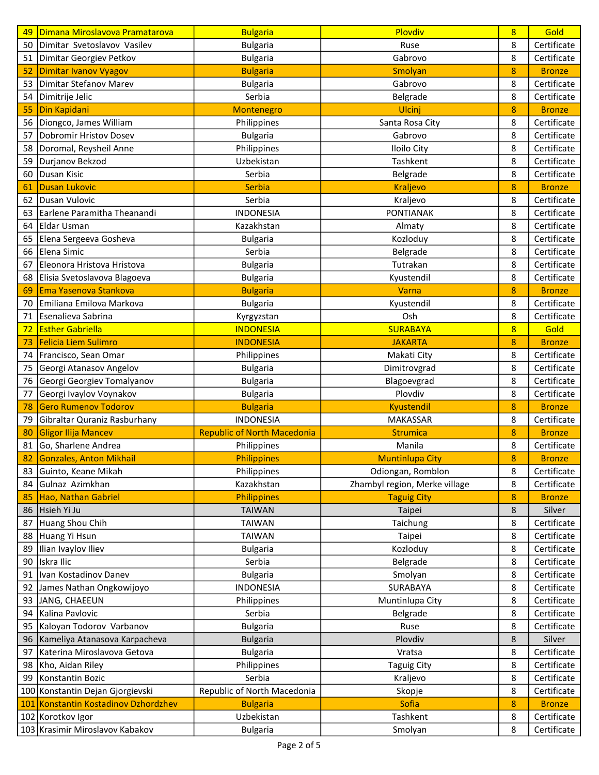| 49  | Dimana Miroslavova Pramatarova   | <b>Bulgaria</b>                    | Plovdiv                       | 8 | Gold          |
|-----|----------------------------------|------------------------------------|-------------------------------|---|---------------|
| 50  | Dimitar Svetoslavov Vasilev      | <b>Bulgaria</b>                    | Ruse                          | 8 | Certificate   |
| 51  | Dimitar Georgiev Petkov          | <b>Bulgaria</b>                    | Gabrovo                       | 8 | Certificate   |
| 52  | <b>Dimitar Ivanov Vyagov</b>     | <b>Bulgaria</b>                    | Smolyan                       | 8 | <b>Bronze</b> |
| 53  | Dimitar Stefanov Marev           | <b>Bulgaria</b>                    | Gabrovo                       | 8 | Certificate   |
| 54  | Dimitrije Jelic                  | Serbia                             | Belgrade                      | 8 | Certificate   |
| 55  | Din Kapidani                     | Montenegro                         | Ulcinj                        | 8 | <b>Bronze</b> |
| 56  | Diongco, James William           | Philippines                        | Santa Rosa City               | 8 | Certificate   |
| 57  | Dobromir Hristov Dosev           | <b>Bulgaria</b>                    | Gabrovo                       | 8 | Certificate   |
| 58  | Doromal, Reysheil Anne           | Philippines                        | Iloilo City                   | 8 | Certificate   |
| 59  | Durjanov Bekzod                  | Uzbekistan                         | Tashkent                      | 8 | Certificate   |
| 60  | Dusan Kisic                      | Serbia                             | Belgrade                      | 8 | Certificate   |
| 61  | <b>Dusan Lukovic</b>             | <b>Serbia</b>                      | <b>Kraljevo</b>               | 8 | <b>Bronze</b> |
| 62  | Dusan Vulovic                    | Serbia                             | Kraljevo                      | 8 | Certificate   |
| 63  | Earlene Paramitha Theanandi      | <b>INDONESIA</b>                   | <b>PONTIANAK</b>              | 8 | Certificate   |
| 64  | Eldar Usman                      | Kazakhstan                         | Almaty                        | 8 | Certificate   |
| 65  | Elena Sergeeva Gosheva           | <b>Bulgaria</b>                    | Kozloduy                      | 8 | Certificate   |
| 66  | Elena Simic                      | Serbia                             | Belgrade                      | 8 | Certificate   |
| 67  | Eleonora Hristova Hristova       | <b>Bulgaria</b>                    | Tutrakan                      | 8 | Certificate   |
| 68  | Elisia Svetoslavova Blagoeva     | <b>Bulgaria</b>                    | Kyustendil                    | 8 | Certificate   |
| 69  | Ema Yasenova Stankova            | <b>Bulgaria</b>                    | Varna                         | 8 | <b>Bronze</b> |
| 70  | Emiliana Emilova Markova         | <b>Bulgaria</b>                    | Kyustendil                    | 8 | Certificate   |
| 71  | Esenalieva Sabrina               | Kyrgyzstan                         | Osh                           | 8 | Certificate   |
| 72  | <b>Esther Gabriella</b>          | <b>INDONESIA</b>                   | <b>SURABAYA</b>               | 8 | Gold          |
| 73  | <b>Felicia Liem Sulimro</b>      | <b>INDONESIA</b>                   | <b>JAKARTA</b>                | 8 | <b>Bronze</b> |
| 74  | Francisco, Sean Omar             | Philippines                        | Makati City                   | 8 | Certificate   |
| 75  | Georgi Atanasov Angelov          | <b>Bulgaria</b>                    | Dimitrovgrad                  | 8 | Certificate   |
| 76  | Georgi Georgiev Tomalyanov       | <b>Bulgaria</b>                    | Blagoevgrad                   | 8 | Certificate   |
| 77  | Georgi Ivaylov Voynakov          | <b>Bulgaria</b>                    | Plovdiv                       | 8 | Certificate   |
| 78  | <b>Gero Rumenov Todorov</b>      | <b>Bulgaria</b>                    | Kyustendil                    | 8 | <b>Bronze</b> |
| 79  | Gibraltar Quraniz Rasburhany     | <b>INDONESIA</b>                   | MAKASSAR                      | 8 | Certificate   |
| 80  | Gligor Ilija Mancev              | <b>Republic of North Macedonia</b> | <b>Strumica</b>               | 8 | <b>Bronze</b> |
| 81  | Go, Sharlene Andrea              | Philippines                        | Manila                        | 8 | Certificate   |
| 82  | <b>Gonzales, Anton Mikhail</b>   | <b>Philippines</b>                 | <b>Muntinlupa City</b>        | 8 | <b>Bronze</b> |
|     | 83 Guinto, Keane Mikah           | Philippines                        | Odiongan, Romblon             | 8 | Certificate   |
| 84  | Gulnaz Azimkhan                  | Kazakhstan                         | Zhambyl region, Merke village | 8 | Certificate   |
| 85  | Hao, Nathan Gabriel              | Philippines                        | <b>Taguig City</b>            | 8 | <b>Bronze</b> |
| 86  | Hsieh Yi Ju                      | <b>TAIWAN</b>                      | Taipei                        | 8 | Silver        |
| 87  | Huang Shou Chih                  | <b>TAIWAN</b>                      | Taichung                      | 8 | Certificate   |
| 88  | Huang Yi Hsun                    | <b>TAIWAN</b>                      | Taipei                        | 8 | Certificate   |
| 89  | Ilian Ivaylov Iliev              | <b>Bulgaria</b>                    | Kozloduy                      | 8 | Certificate   |
| 90  | Iskra Ilic                       | Serbia                             | Belgrade                      | 8 | Certificate   |
| 91  | Ivan Kostadinov Danev            | <b>Bulgaria</b>                    | Smolyan                       | 8 | Certificate   |
| 92  | James Nathan Ongkowijoyo         | <b>INDONESIA</b>                   | SURABAYA                      | 8 | Certificate   |
| 93  | JANG, CHAEEUN                    | Philippines                        | Muntinlupa City               | 8 | Certificate   |
| 94  | Kalina Pavlovic                  | Serbia                             | Belgrade                      | 8 | Certificate   |
| 95  | Kaloyan Todorov Varbanov         | <b>Bulgaria</b>                    | Ruse                          | 8 | Certificate   |
| 96  | Kameliya Atanasova Karpacheva    | <b>Bulgaria</b>                    | Plovdiv                       | 8 | Silver        |
| 97  | Katerina Miroslavova Getova      | <b>Bulgaria</b>                    | Vratsa                        | 8 | Certificate   |
| 98  | Kho, Aidan Riley                 | Philippines                        | <b>Taguig City</b>            | 8 | Certificate   |
| 99  | Konstantin Bozic                 | Serbia                             | Kraljevo                      | 8 | Certificate   |
|     | 100 Konstantin Dejan Gjorgievski | Republic of North Macedonia        | Skopje                        | 8 | Certificate   |
| 101 | Konstantin Kostadinov Dzhordzhev | <b>Bulgaria</b>                    | Sofia                         | 8 | <b>Bronze</b> |
|     | 102 Korotkov Igor                | Uzbekistan                         | Tashkent                      | 8 | Certificate   |
|     | 103 Krasimir Miroslavov Kabakov  | <b>Bulgaria</b>                    | Smolyan                       | 8 | Certificate   |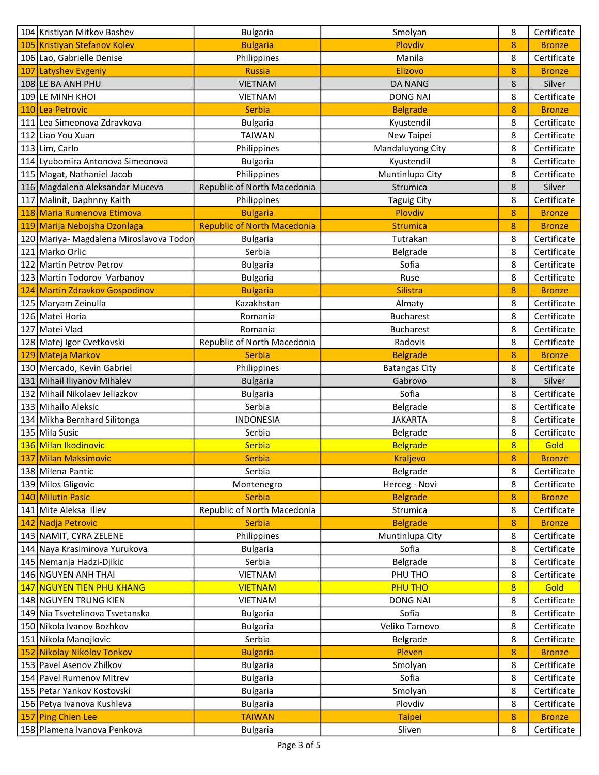|     | 104 Kristiyan Mitkov Bashev             | <b>Bulgaria</b>                    | Smolyan              | 8              | Certificate   |
|-----|-----------------------------------------|------------------------------------|----------------------|----------------|---------------|
|     | 105 Kristiyan Stefanov Kolev            | <b>Bulgaria</b>                    | Plovdiv              | 8              | <b>Bronze</b> |
|     | 106 Lao, Gabrielle Denise               | Philippines                        | Manila               | 8              | Certificate   |
| 107 | Latyshev Evgeniy                        | <b>Russia</b>                      | <b>Elizovo</b>       | 8              | <b>Bronze</b> |
|     | 108 LE BA ANH PHU                       | <b>VIETNAM</b>                     | <b>DA NANG</b>       | 8              | Silver        |
|     | 109 LE MINH KHOI                        | <b>VIETNAM</b>                     | <b>DONG NAI</b>      | 8              | Certificate   |
|     | 110 Lea Petrovic                        | <b>Serbia</b>                      | <b>Belgrade</b>      | 8              | <b>Bronze</b> |
|     | 111 Lea Simeonova Zdravkova             | <b>Bulgaria</b>                    | Kyustendil           | 8              | Certificate   |
|     | 112 Liao You Xuan                       | <b>TAIWAN</b>                      | New Taipei           | 8              | Certificate   |
|     | 113 Lim, Carlo                          | Philippines                        | Mandaluyong City     | 8              | Certificate   |
|     | 114 Lyubomira Antonova Simeonova        | <b>Bulgaria</b>                    | Kyustendil           | 8              | Certificate   |
|     | 115 Magat, Nathaniel Jacob              | Philippines                        | Muntinlupa City      | 8              | Certificate   |
|     | 116 Magdalena Aleksandar Muceva         | Republic of North Macedonia        | Strumica             | 8              | Silver        |
|     | 117 Malinit, Daphnny Kaith              | Philippines                        | <b>Taguig City</b>   | 8              | Certificate   |
|     | 118 Maria Rumenova Etimova              | <b>Bulgaria</b>                    | Plovdiv              | 8              | <b>Bronze</b> |
|     | 119 Marija Nebojsha Dzonlaga            | <b>Republic of North Macedonia</b> | <b>Strumica</b>      | 8              | <b>Bronze</b> |
|     | 120 Mariya- Magdalena Miroslavova Todor | <b>Bulgaria</b>                    | Tutrakan             | 8              | Certificate   |
|     | 121 Marko Orlic                         | Serbia                             | Belgrade             | 8              | Certificate   |
|     | 122 Martin Petrov Petrov                | <b>Bulgaria</b>                    | Sofia                | 8              | Certificate   |
|     | 123 Martin Todorov Varbanov             | <b>Bulgaria</b>                    | Ruse                 | 8              | Certificate   |
|     | 124 Martin Zdravkov Gospodinov          | <b>Bulgaria</b>                    | <b>Silistra</b>      | 8              | <b>Bronze</b> |
|     | 125 Maryam Zeinulla                     | Kazakhstan                         | Almaty               | 8              | Certificate   |
|     | 126 Matei Horia                         | Romania                            | <b>Bucharest</b>     | 8              | Certificate   |
| 127 | Matei Vlad                              | Romania                            | <b>Bucharest</b>     | 8              | Certificate   |
|     | 128 Matej Igor Cvetkovski               | Republic of North Macedonia        | Radovis              | 8              | Certificate   |
|     | 129 Mateja Markov                       | <b>Serbia</b>                      | <b>Belgrade</b>      | 8              | <b>Bronze</b> |
|     | 130 Mercado, Kevin Gabriel              | Philippines                        | <b>Batangas City</b> | 8              | Certificate   |
|     | 131 Mihail Iliyanov Mihalev             | <b>Bulgaria</b>                    | Gabrovo              | 8              | Silver        |
|     | 132 Mihail Nikolaev Jeliazkov           | <b>Bulgaria</b>                    | Sofia                | 8              | Certificate   |
|     | 133 Mihailo Aleksic                     | Serbia                             | Belgrade             | 8              | Certificate   |
|     | 134 Mikha Bernhard Silitonga            | <b>INDONESIA</b>                   | <b>JAKARTA</b>       | 8              | Certificate   |
|     | 135 Mila Susic                          | Serbia                             | Belgrade             | 8              | Certificate   |
|     | 136 Milan Ikodinovic                    | Serbia                             | <b>Belgrade</b>      | 8              | Gold          |
|     | 137 Milan Maksimovic                    | <b>Serbia</b>                      | <b>Kraljevo</b>      | 8              | <b>Bronze</b> |
|     | 138 Milena Pantic                       | Serbia                             | Belgrade             | 8              | Certificate   |
|     | 139 Milos Gligovic                      | Montenegro                         | Herceg - Novi        | 8              | Certificate   |
|     | 140 Milutin Pasic                       | <b>Serbia</b>                      | <b>Belgrade</b>      | 8              | <b>Bronze</b> |
|     | 141 Mite Aleksa Iliev                   | Republic of North Macedonia        | Strumica             | 8              | Certificate   |
|     | 142 Nadja Petrovic                      | <b>Serbia</b>                      | <b>Belgrade</b>      | 8              | <b>Bronze</b> |
|     | 143 NAMIT, CYRA ZELENE                  | Philippines                        | Muntinlupa City      | 8              | Certificate   |
|     | 144 Naya Krasimirova Yurukova           | <b>Bulgaria</b>                    | Sofia                | 8              | Certificate   |
|     | 145 Nemanja Hadzi-Djikic                | Serbia                             | Belgrade             | 8              | Certificate   |
|     | 146 NGUYEN ANH THAI                     | <b>VIETNAM</b>                     | PHU THO              | 8              | Certificate   |
|     | 147 NGUYEN TIEN PHU KHANG               | <b>VIETNAM</b>                     | <b>PHU THO</b>       | $\overline{8}$ | Gold          |
|     | 148 NGUYEN TRUNG KIEN                   | <b>VIETNAM</b>                     | <b>DONG NAI</b>      | 8              | Certificate   |
|     | 149 Nia Tsvetelinova Tsvetanska         | <b>Bulgaria</b>                    | Sofia                | 8              | Certificate   |
|     | 150 Nikola Ivanov Bozhkov               | <b>Bulgaria</b>                    | Veliko Tarnovo       | 8              | Certificate   |
|     | 151 Nikola Manojlovic                   | Serbia                             | Belgrade             | 8              | Certificate   |
|     | 152 Nikolay Nikolov Tonkov              | <b>Bulgaria</b>                    | Pleven               | 8              | <b>Bronze</b> |
|     | 153 Pavel Asenov Zhilkov                | <b>Bulgaria</b>                    | Smolyan              | 8              | Certificate   |
|     | 154 Pavel Rumenov Mitrev                | <b>Bulgaria</b>                    | Sofia                | 8              | Certificate   |
|     | 155 Petar Yankov Kostovski              | <b>Bulgaria</b>                    | Smolyan              | 8              | Certificate   |
|     | 156 Petya Ivanova Kushleva              | <b>Bulgaria</b>                    | Plovdiv              | 8              | Certificate   |
|     | 157 Ping Chien Lee                      | <b>TAIWAN</b>                      | <b>Taipei</b>        | 8              | <b>Bronze</b> |
|     | 158 Plamena Ivanova Penkova             | <b>Bulgaria</b>                    | Sliven               | 8              | Certificate   |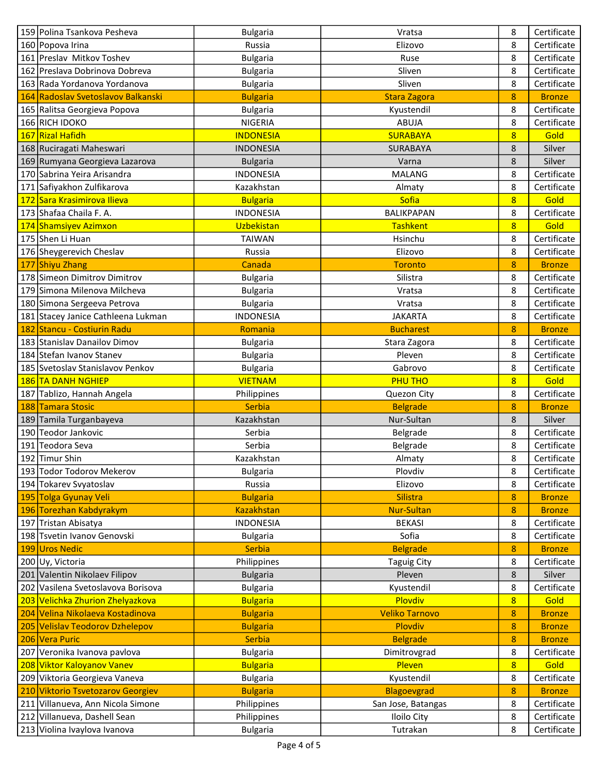|     | 159 Polina Tsankova Pesheva          | <b>Bulgaria</b>   | Vratsa                | 8              | Certificate   |
|-----|--------------------------------------|-------------------|-----------------------|----------------|---------------|
|     | 160 Popova Irina                     | Russia            | Elizovo               | 8              | Certificate   |
|     | 161 Preslav Mitkov Toshev            | <b>Bulgaria</b>   | Ruse                  | 8              | Certificate   |
|     | 162 Preslava Dobrinova Dobreva       | <b>Bulgaria</b>   | Sliven                | 8              | Certificate   |
|     | 163 Rada Yordanova Yordanova         | <b>Bulgaria</b>   | Sliven                | 8              | Certificate   |
|     | 164 Radoslav Svetoslavov Balkanski   | <b>Bulgaria</b>   | <b>Stara Zagora</b>   | 8              | <b>Bronze</b> |
|     | 165 Ralitsa Georgieva Popova         | <b>Bulgaria</b>   | Kyustendil            | 8              | Certificate   |
|     | 166 RICH IDOKO                       | <b>NIGERIA</b>    | <b>ABUJA</b>          | 8              | Certificate   |
|     | 167 Rizal Hafidh                     | <b>INDONESIA</b>  | <b>SURABAYA</b>       | 8              | Gold          |
|     | 168 Ruciragati Maheswari             | <b>INDONESIA</b>  | SURABAYA              | 8              | Silver        |
|     | 169 Rumyana Georgieva Lazarova       | <b>Bulgaria</b>   | Varna                 | 8              | Silver        |
|     | 170 Sabrina Yeira Arisandra          | <b>INDONESIA</b>  | <b>MALANG</b>         | 8              | Certificate   |
|     | 171 Safiyakhon Zulfikarova           | Kazakhstan        | Almaty                | 8              | Certificate   |
|     | 172 Sara Krasimirova Ilieva          | <b>Bulgaria</b>   | Sofia                 | $\overline{8}$ | Gold          |
|     | 173 Shafaa Chaila F. A.              | <b>INDONESIA</b>  | BALIKPAPAN            | 8              | Certificate   |
|     | 174 Shamsiyev Azimxon                | Uzbekistan        | <b>Tashkent</b>       | 8              | Gold          |
|     | 175 Shen Li Huan                     | <b>TAIWAN</b>     | Hsinchu               | 8              | Certificate   |
|     | 176 Sheygerevich Cheslav             | Russia            | Elizovo               | 8              | Certificate   |
|     | 177 Shiyu Zhang                      | Canada            | <b>Toronto</b>        | 8              | <b>Bronze</b> |
|     | 178 Simeon Dimitrov Dimitrov         | <b>Bulgaria</b>   | Silistra              | 8              | Certificate   |
|     | 179 Simona Milenova Milcheva         | <b>Bulgaria</b>   | Vratsa                | 8              | Certificate   |
|     | 180 Simona Sergeeva Petrova          | <b>Bulgaria</b>   | Vratsa                | 8              | Certificate   |
|     | 181 Stacey Janice Cathleena Lukman   | <b>INDONESIA</b>  | <b>JAKARTA</b>        | 8              | Certificate   |
|     | 182 Stancu - Costiurin Radu          | Romania           | <b>Bucharest</b>      | 8              | <b>Bronze</b> |
|     | 183 Stanislav Danailov Dimov         | <b>Bulgaria</b>   | Stara Zagora          | 8              | Certificate   |
|     | 184 Stefan Ivanov Stanev             | <b>Bulgaria</b>   | Pleven                | 8              | Certificate   |
|     | 185 Svetoslav Stanislavov Penkov     | <b>Bulgaria</b>   | Gabrovo               | 8              | Certificate   |
|     | 186 TA DANH NGHIEP                   | <b>VIETNAM</b>    | <b>PHU THO</b>        | $8\phantom{1}$ | Gold          |
|     | 187 Tablizo, Hannah Angela           | Philippines       | Quezon City           | 8              | Certificate   |
|     | 188 Tamara Stosic                    | Serbia            | <b>Belgrade</b>       | 8              | <b>Bronze</b> |
|     | 189 Tamila Turganbayeva              | Kazakhstan        | Nur-Sultan            | 8              | Silver        |
|     | 190 Teodor Jankovic                  | Serbia            | Belgrade              | 8              | Certificate   |
|     | 191 Teodora Seva                     | Serbia            | Belgrade              | 8              | Certificate   |
|     | 192 Timur Shin                       | Kazakhstan        | Almaty                | 8              | Certificate   |
|     | 193 Todor Todorov Mekerov            | <b>Bulgaria</b>   | Plovdiv               | 8              | Certificate   |
|     | 194 Tokarev Svyatoslav               | Russia            | Elizovo               | 8              | Certificate   |
|     | 195 Tolga Gyunay Veli                | <b>Bulgaria</b>   | <b>Silistra</b>       | 8              | <b>Bronze</b> |
|     | 196 Torezhan Kabdyrakym              | <b>Kazakhstan</b> | <b>Nur-Sultan</b>     | 8              | <b>Bronze</b> |
|     | 197 Tristan Abisatya                 | <b>INDONESIA</b>  | <b>BEKASI</b>         | 8              | Certificate   |
|     | 198 Tsvetin Ivanov Genovski          | <b>Bulgaria</b>   | Sofia                 | 8              | Certificate   |
|     | 199 Uros Nedic                       | <b>Serbia</b>     | <b>Belgrade</b>       | 8              | <b>Bronze</b> |
|     | 200 Uy, Victoria                     | Philippines       | <b>Taguig City</b>    | 8              | Certificate   |
| 201 | Valentin Nikolaev Filipov            | <b>Bulgaria</b>   | Pleven                | 8              | Silver        |
|     | 202 Vasilena Svetoslavova Borisova   | <b>Bulgaria</b>   | Kyustendil            | 8              | Certificate   |
|     | 203 Velichka Zhurion Zhelyazkova     | <b>Bulgaria</b>   | Plovdiv               | 8              | Gold          |
|     | 204 Velina Nikolaeva Kostadinova     | <b>Bulgaria</b>   | <b>Veliko Tarnovo</b> | 8              | <b>Bronze</b> |
|     | <b>Velislav Teodorov Dzhelepov</b>   | <b>Bulgaria</b>   | Plovdiv               | 8              | <b>Bronze</b> |
| 205 | 206 Vera Puric                       | Serbia            | <b>Belgrade</b>       | $\bf 8$        | <b>Bronze</b> |
| 207 | Veronika Ivanova pavlova             | <b>Bulgaria</b>   | Dimitrovgrad          | 8              | Certificate   |
|     | 208 Viktor Kaloyanov Vanev           | <b>Bulgaria</b>   | Pleven                | 8              | Gold          |
|     | 209 Viktoria Georgieva Vaneva        | <b>Bulgaria</b>   | Kyustendil            | 8              | Certificate   |
| 210 | <b>Viktorio Tsvetozarov Georgiev</b> | <b>Bulgaria</b>   | <b>Blagoevgrad</b>    | 8              | <b>Bronze</b> |
|     | 211 Villanueva, Ann Nicola Simone    |                   |                       | 8              | Certificate   |
|     |                                      | Philippines       | San Jose, Batangas    |                | Certificate   |
|     | 212 Villanueva, Dashell Sean         | Philippines       | Iloilo City           | 8              |               |
|     | 213 Violina Ivaylova Ivanova         | <b>Bulgaria</b>   | Tutrakan              | 8              | Certificate   |